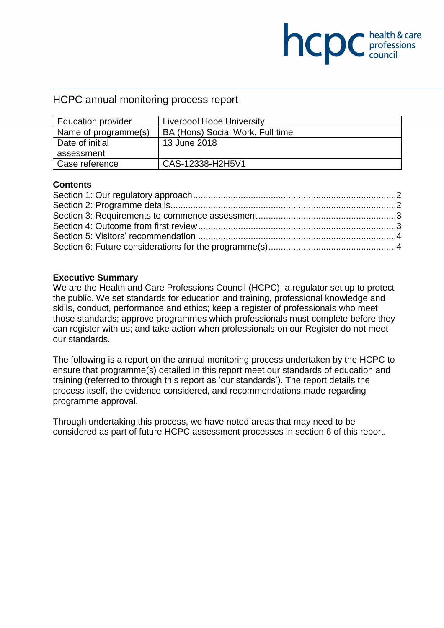# **NCDC** health & care

# HCPC annual monitoring process report

| <b>Education provider</b> | Liverpool Hope University        |
|---------------------------|----------------------------------|
| Name of programme(s)      | BA (Hons) Social Work, Full time |
| Date of initial           | 13 June 2018                     |
| assessment                |                                  |
| Case reference            | CAS-12338-H2H5V1                 |

#### **Contents**

#### **Executive Summary**

We are the Health and Care Professions Council (HCPC), a regulator set up to protect the public. We set standards for education and training, professional knowledge and skills, conduct, performance and ethics; keep a register of professionals who meet those standards; approve programmes which professionals must complete before they can register with us; and take action when professionals on our Register do not meet our standards.

The following is a report on the annual monitoring process undertaken by the HCPC to ensure that programme(s) detailed in this report meet our standards of education and training (referred to through this report as 'our standards'). The report details the process itself, the evidence considered, and recommendations made regarding programme approval.

Through undertaking this process, we have noted areas that may need to be considered as part of future HCPC assessment processes in section 6 of this report.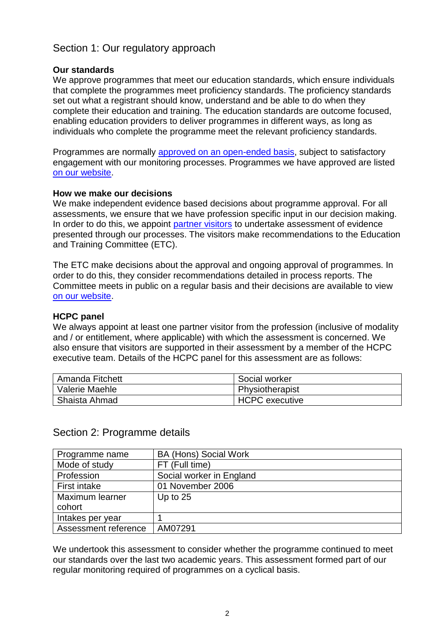# Section 1: Our regulatory approach

## **Our standards**

We approve programmes that meet our education standards, which ensure individuals that complete the programmes meet proficiency standards. The proficiency standards set out what a registrant should know, understand and be able to do when they complete their education and training. The education standards are outcome focused, enabling education providers to deliver programmes in different ways, as long as individuals who complete the programme meet the relevant proficiency standards.

Programmes are normally approved on an open-ended basis, subject to satisfactory engagement with our monitoring processes. Programmes we have approved are listed on our website.

## **How we make our decisions**

We make independent evidence based decisions about programme approval. For all assessments, we ensure that we have profession specific input in our decision making. In order to do this, we appoint partner visitors to undertake assessment of evidence presented through our processes. The visitors make recommendations to the Education and Training Committee (ETC).

The ETC make decisions about the approval and ongoing approval of programmes. In order to do this, they consider recommendations detailed in process reports. The Committee meets in public on a regular basis and their decisions are available to view on our website.

## **HCPC panel**

We always appoint at least one partner visitor from the profession (inclusive of modality and / or entitlement, where applicable) with which the assessment is concerned. We also ensure that visitors are supported in their assessment by a member of the HCPC executive team. Details of the HCPC panel for this assessment are as follows:

| <sup>1</sup> Amanda Fitchett | Social worker   |
|------------------------------|-----------------|
| Valerie Maehle               | Physiotherapist |
| Shaista Ahmad                | HCPC executive  |

# Section 2: Programme details

| Programme name       | <b>BA (Hons) Social Work</b> |
|----------------------|------------------------------|
| Mode of study        | FT (Full time)               |
| Profession           | Social worker in England     |
| First intake         | 01 November 2006             |
| Maximum learner      | Up to $25$                   |
| cohort               |                              |
| Intakes per year     |                              |
| Assessment reference | AM07291                      |

We undertook this assessment to consider whether the programme continued to meet our standards over the last two academic years. This assessment formed part of our regular monitoring required of programmes on a cyclical basis.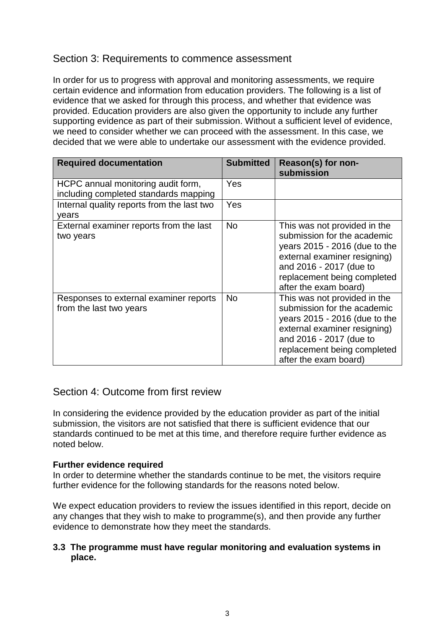# Section 3: Requirements to commence assessment

In order for us to progress with approval and monitoring assessments, we require certain evidence and information from education providers. The following is a list of evidence that we asked for through this process, and whether that evidence was provided. Education providers are also given the opportunity to include any further supporting evidence as part of their submission. Without a sufficient level of evidence, we need to consider whether we can proceed with the assessment. In this case, we decided that we were able to undertake our assessment with the evidence provided.

| <b>Required documentation</b>                                               | <b>Submitted</b> | Reason(s) for non-<br>submission                                                                                                                                                                                |
|-----------------------------------------------------------------------------|------------------|-----------------------------------------------------------------------------------------------------------------------------------------------------------------------------------------------------------------|
| HCPC annual monitoring audit form,<br>including completed standards mapping | Yes              |                                                                                                                                                                                                                 |
| Internal quality reports from the last two<br>years                         | Yes              |                                                                                                                                                                                                                 |
| External examiner reports from the last<br>two years                        | <b>No</b>        | This was not provided in the<br>submission for the academic<br>years 2015 - 2016 (due to the<br>external examiner resigning)<br>and 2016 - 2017 (due to<br>replacement being completed<br>after the exam board) |
| Responses to external examiner reports<br>from the last two years           | <b>No</b>        | This was not provided in the<br>submission for the academic<br>years 2015 - 2016 (due to the<br>external examiner resigning)<br>and 2016 - 2017 (due to<br>replacement being completed<br>after the exam board) |

# Section 4: Outcome from first review

In considering the evidence provided by the education provider as part of the initial submission, the visitors are not satisfied that there is sufficient evidence that our standards continued to be met at this time, and therefore require further evidence as noted below.

## **Further evidence required**

In order to determine whether the standards continue to be met, the visitors require further evidence for the following standards for the reasons noted below.

We expect education providers to review the issues identified in this report, decide on any changes that they wish to make to programme(s), and then provide any further evidence to demonstrate how they meet the standards.

## **3.3 The programme must have regular monitoring and evaluation systems in place.**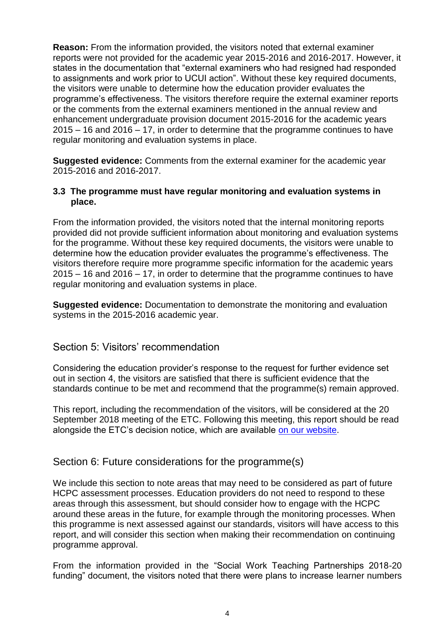**Reason:** From the information provided, the visitors noted that external examiner reports were not provided for the academic year 2015-2016 and 2016-2017. However, it states in the documentation that "external examiners who had resigned had responded to assignments and work prior to UCUI action". Without these key required documents, the visitors were unable to determine how the education provider evaluates the programme's effectiveness. The visitors therefore require the external examiner reports or the comments from the external examiners mentioned in the annual review and enhancement undergraduate provision document 2015-2016 for the academic years 2015 – 16 and 2016 – 17, in order to determine that the programme continues to have regular monitoring and evaluation systems in place.

**Suggested evidence:** Comments from the external examiner for the academic year 2015-2016 and 2016-2017.

## **3.3 The programme must have regular monitoring and evaluation systems in place.**

From the information provided, the visitors noted that the internal monitoring reports provided did not provide sufficient information about monitoring and evaluation systems for the programme. Without these key required documents, the visitors were unable to determine how the education provider evaluates the programme's effectiveness. The visitors therefore require more programme specific information for the academic years 2015 – 16 and 2016 – 17, in order to determine that the programme continues to have regular monitoring and evaluation systems in place.

**Suggested evidence:** Documentation to demonstrate the monitoring and evaluation systems in the 2015-2016 academic year.

# Section 5: Visitors' recommendation

Considering the education provider's response to the request for further evidence set out in section 4, the visitors are satisfied that there is sufficient evidence that the standards continue to be met and recommend that the programme(s) remain approved.

This report, including the recommendation of the visitors, will be considered at the 20 September 2018 meeting of the ETC. Following this meeting, this report should be read alongside the ETC's decision notice, which are available on our website.

# Section 6: Future considerations for the programme(s)

We include this section to note areas that may need to be considered as part of future HCPC assessment processes. Education providers do not need to respond to these areas through this assessment, but should consider how to engage with the HCPC around these areas in the future, for example through the monitoring processes. When this programme is next assessed against our standards, visitors will have access to this report, and will consider this section when making their recommendation on continuing programme approval.

From the information provided in the "Social Work Teaching Partnerships 2018-20 funding" document, the visitors noted that there were plans to increase learner numbers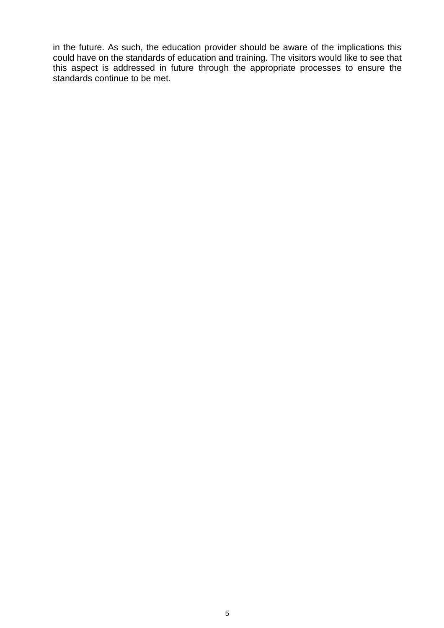in the future. As such, the education provider should be aware of the implications this could have on the standards of education and training. The visitors would like to see that this aspect is addressed in future through the appropriate processes to ensure the standards continue to be met.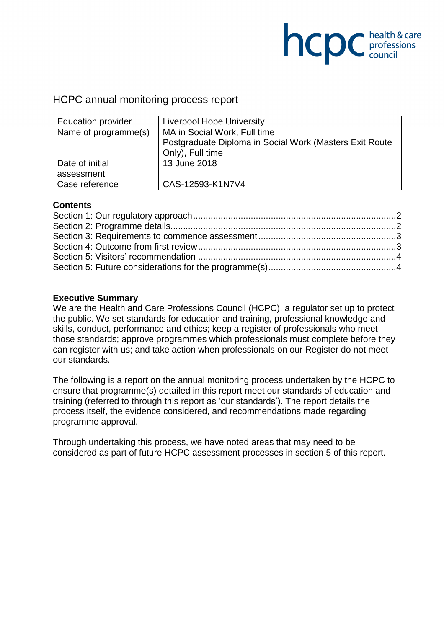# **NCDC** health & care

# HCPC annual monitoring process report

| <b>Education provider</b> | <b>Liverpool Hope University</b>                        |  |
|---------------------------|---------------------------------------------------------|--|
| Name of programme(s)      | MA in Social Work, Full time                            |  |
|                           | Postgraduate Diploma in Social Work (Masters Exit Route |  |
|                           | Only), Full time                                        |  |
| Date of initial           | 13 June 2018                                            |  |
| assessment                |                                                         |  |
| Case reference            | CAS-12593-K1N7V4                                        |  |

#### **Contents**

# **Executive Summary**

We are the Health and Care Professions Council (HCPC), a regulator set up to protect the public. We set standards for education and training, professional knowledge and skills, conduct, performance and ethics; keep a register of professionals who meet those standards; approve programmes which professionals must complete before they can register with us; and take action when professionals on our Register do not meet our standards.

The following is a report on the annual monitoring process undertaken by the HCPC to ensure that programme(s) detailed in this report meet our standards of education and training (referred to through this report as 'our standards'). The report details the process itself, the evidence considered, and recommendations made regarding programme approval.

Through undertaking this process, we have noted areas that may need to be considered as part of future HCPC assessment processes in section 5 of this report.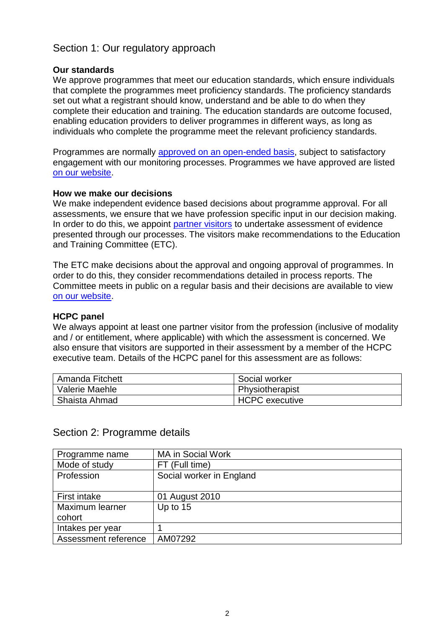# Section 1: Our regulatory approach

## **Our standards**

We approve programmes that meet our education standards, which ensure individuals that complete the programmes meet proficiency standards. The proficiency standards set out what a registrant should know, understand and be able to do when they complete their education and training. The education standards are outcome focused, enabling education providers to deliver programmes in different ways, as long as individuals who complete the programme meet the relevant proficiency standards.

Programmes are normally approved on an open-ended basis, subject to satisfactory engagement with our monitoring processes. Programmes we have approved are listed on our website.

## **How we make our decisions**

We make independent evidence based decisions about programme approval. For all assessments, we ensure that we have profession specific input in our decision making. In order to do this, we appoint partner visitors to undertake assessment of evidence presented through our processes. The visitors make recommendations to the Education and Training Committee (ETC).

The ETC make decisions about the approval and ongoing approval of programmes. In order to do this, they consider recommendations detailed in process reports. The Committee meets in public on a regular basis and their decisions are available to view on our website.

## **HCPC panel**

We always appoint at least one partner visitor from the profession (inclusive of modality and / or entitlement, where applicable) with which the assessment is concerned. We also ensure that visitors are supported in their assessment by a member of the HCPC executive team. Details of the HCPC panel for this assessment are as follows:

| <sup>1</sup> Amanda Fitchett | Social worker   |
|------------------------------|-----------------|
| Valerie Maehle               | Physiotherapist |
| Shaista Ahmad                | HCPC executive  |

# Section 2: Programme details

| Programme name       | <b>MA in Social Work</b> |
|----------------------|--------------------------|
| Mode of study        | FT (Full time)           |
| Profession           | Social worker in England |
|                      |                          |
| <b>First intake</b>  | 01 August 2010           |
| Maximum learner      | Up to 15                 |
| cohort               |                          |
| Intakes per year     |                          |
| Assessment reference | AM07292                  |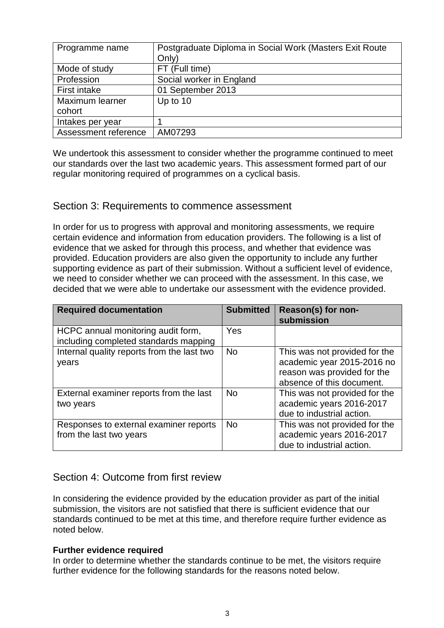| Programme name       | Postgraduate Diploma in Social Work (Masters Exit Route<br>Only) |
|----------------------|------------------------------------------------------------------|
| Mode of study        | FT (Full time)                                                   |
| Profession           | Social worker in England                                         |
| <b>First intake</b>  | 01 September 2013                                                |
| Maximum learner      | Up to 10                                                         |
| cohort               |                                                                  |
| Intakes per year     |                                                                  |
| Assessment reference | AM07293                                                          |

We undertook this assessment to consider whether the programme continued to meet our standards over the last two academic years. This assessment formed part of our regular monitoring required of programmes on a cyclical basis.

# Section 3: Requirements to commence assessment

In order for us to progress with approval and monitoring assessments, we require certain evidence and information from education providers. The following is a list of evidence that we asked for through this process, and whether that evidence was provided. Education providers are also given the opportunity to include any further supporting evidence as part of their submission. Without a sufficient level of evidence, we need to consider whether we can proceed with the assessment. In this case, we decided that we were able to undertake our assessment with the evidence provided.

| <b>Required documentation</b>                                               | <b>Submitted</b> | Reason(s) for non-<br>submission                                                                                        |
|-----------------------------------------------------------------------------|------------------|-------------------------------------------------------------------------------------------------------------------------|
| HCPC annual monitoring audit form,<br>including completed standards mapping | Yes              |                                                                                                                         |
| Internal quality reports from the last two<br>years                         | <b>No</b>        | This was not provided for the<br>academic year 2015-2016 no<br>reason was provided for the<br>absence of this document. |
| External examiner reports from the last<br>two years                        | <b>No</b>        | This was not provided for the<br>academic years 2016-2017<br>due to industrial action.                                  |
| Responses to external examiner reports<br>from the last two years           | <b>No</b>        | This was not provided for the<br>academic years 2016-2017<br>due to industrial action.                                  |

# Section 4: Outcome from first review

In considering the evidence provided by the education provider as part of the initial submission, the visitors are not satisfied that there is sufficient evidence that our standards continued to be met at this time, and therefore require further evidence as noted below.

## **Further evidence required**

In order to determine whether the standards continue to be met, the visitors require further evidence for the following standards for the reasons noted below.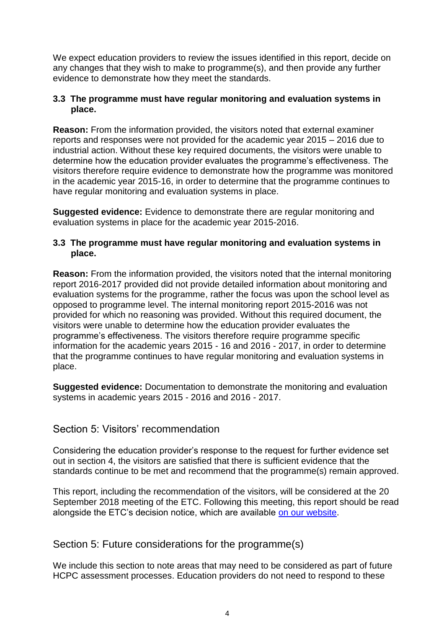We expect education providers to review the issues identified in this report, decide on any changes that they wish to make to programme(s), and then provide any further evidence to demonstrate how they meet the standards.

## **3.3 The programme must have regular monitoring and evaluation systems in place.**

**Reason:** From the information provided, the visitors noted that external examiner reports and responses were not provided for the academic year 2015 – 2016 due to industrial action. Without these key required documents, the visitors were unable to determine how the education provider evaluates the programme's effectiveness. The visitors therefore require evidence to demonstrate how the programme was monitored in the academic year 2015-16, in order to determine that the programme continues to have regular monitoring and evaluation systems in place.

**Suggested evidence:** Evidence to demonstrate there are regular monitoring and evaluation systems in place for the academic year 2015-2016.

## **3.3 The programme must have regular monitoring and evaluation systems in place.**

**Reason:** From the information provided, the visitors noted that the internal monitoring report 2016-2017 provided did not provide detailed information about monitoring and evaluation systems for the programme, rather the focus was upon the school level as opposed to programme level. The internal monitoring report 2015-2016 was not provided for which no reasoning was provided. Without this required document, the visitors were unable to determine how the education provider evaluates the programme's effectiveness. The visitors therefore require programme specific information for the academic years 2015 - 16 and 2016 - 2017, in order to determine that the programme continues to have regular monitoring and evaluation systems in place.

**Suggested evidence:** Documentation to demonstrate the monitoring and evaluation systems in academic years 2015 - 2016 and 2016 - 2017.

# Section 5: Visitors' recommendation

Considering the education provider's response to the request for further evidence set out in section 4, the visitors are satisfied that there is sufficient evidence that the standards continue to be met and recommend that the programme(s) remain approved.

This report, including the recommendation of the visitors, will be considered at the 20 September 2018 meeting of the ETC. Following this meeting, this report should be read alongside the ETC's decision notice, which are available on our website.

Section 5: Future considerations for the programme(s)

We include this section to note areas that may need to be considered as part of future HCPC assessment processes. Education providers do not need to respond to these